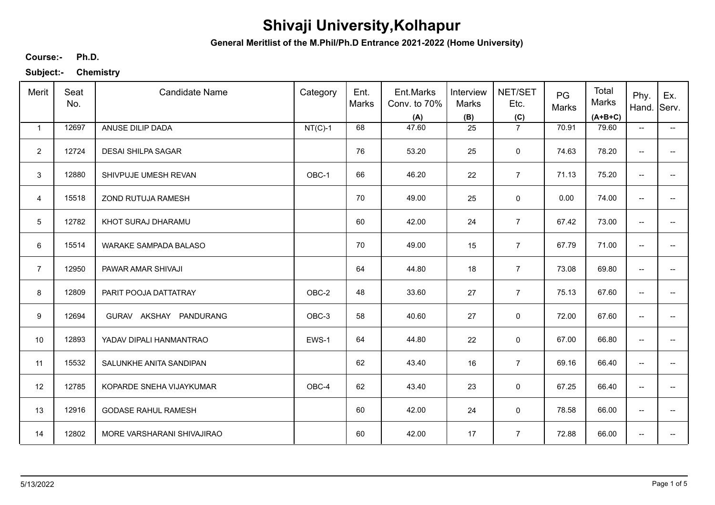**General Meritlist of the M.Phil/Ph.D Entrance 2021-2022 (Home University)**

**Ph.D. Course:-**

| Merit          | Seat<br>No. | <b>Candidate Name</b>      | Category  | Ent.<br>Marks | Ent.Marks<br>Conv. to 70%<br>(A) | Interview<br>Marks<br>(B) | NET/SET<br>Etc.<br>(C) | PG<br>Marks | Total<br>Marks<br>$(A+B+C)$ | Phy.<br>Hand.            | Ex.<br>Serv.             |
|----------------|-------------|----------------------------|-----------|---------------|----------------------------------|---------------------------|------------------------|-------------|-----------------------------|--------------------------|--------------------------|
| $\mathbf{1}$   | 12697       | ANUSE DILIP DADA           | $NT(C)-1$ | 68            | 47.60                            | 25                        | $\overline{7}$         | 70.91       | 79.60                       | $\overline{\phantom{a}}$ | $\overline{\phantom{a}}$ |
| $\overline{2}$ | 12724       | <b>DESAI SHILPA SAGAR</b>  |           | 76            | 53.20                            | 25                        | $\mathbf 0$            | 74.63       | 78.20                       | $\overline{\phantom{a}}$ |                          |
| 3              | 12880       | SHIVPUJE UMESH REVAN       | OBC-1     | 66            | 46.20                            | 22                        | $\overline{7}$         | 71.13       | 75.20                       | ÷                        |                          |
| $\overline{4}$ | 15518       | ZOND RUTUJA RAMESH         |           | 70            | 49.00                            | 25                        | 0                      | 0.00        | 74.00                       | $\overline{\phantom{a}}$ | --                       |
| 5              | 12782       | KHOT SURAJ DHARAMU         |           | 60            | 42.00                            | 24                        | $\overline{7}$         | 67.42       | 73.00                       | $\overline{\phantom{m}}$ | --                       |
| 6              | 15514       | WARAKE SAMPADA BALASO      |           | 70            | 49.00                            | 15                        | $\overline{7}$         | 67.79       | 71.00                       | $\overline{\phantom{m}}$ | --                       |
| $\overline{7}$ | 12950       | PAWAR AMAR SHIVAJI         |           | 64            | 44.80                            | 18                        | $\overline{7}$         | 73.08       | 69.80                       | $\overline{\phantom{m}}$ | --                       |
| 8              | 12809       | PARIT POOJA DATTATRAY      | OBC-2     | 48            | 33.60                            | 27                        | $\overline{7}$         | 75.13       | 67.60                       | $\overline{\phantom{m}}$ |                          |
| 9              | 12694       | GURAV AKSHAY PANDURANG     | OBC-3     | 58            | 40.60                            | 27                        | 0                      | 72.00       | 67.60                       | $\overline{\phantom{a}}$ |                          |
| 10             | 12893       | YADAV DIPALI HANMANTRAO    | EWS-1     | 64            | 44.80                            | 22                        | 0                      | 67.00       | 66.80                       | $\overline{\phantom{a}}$ |                          |
| 11             | 15532       | SALUNKHE ANITA SANDIPAN    |           | 62            | 43.40                            | 16                        | $\overline{7}$         | 69.16       | 66.40                       | $\overline{\phantom{a}}$ |                          |
| 12             | 12785       | KOPARDE SNEHA VIJAYKUMAR   | OBC-4     | 62            | 43.40                            | 23                        | 0                      | 67.25       | 66.40                       | $\overline{\phantom{a}}$ | --                       |
| 13             | 12916       | <b>GODASE RAHUL RAMESH</b> |           | 60            | 42.00                            | 24                        | $\mathbf 0$            | 78.58       | 66.00                       | $\overline{\phantom{a}}$ | $\overline{\phantom{a}}$ |
| 14             | 12802       | MORE VARSHARANI SHIVAJIRAO |           | 60            | 42.00                            | 17                        | $\overline{7}$         | 72.88       | 66.00                       | $\overline{\phantom{a}}$ | --                       |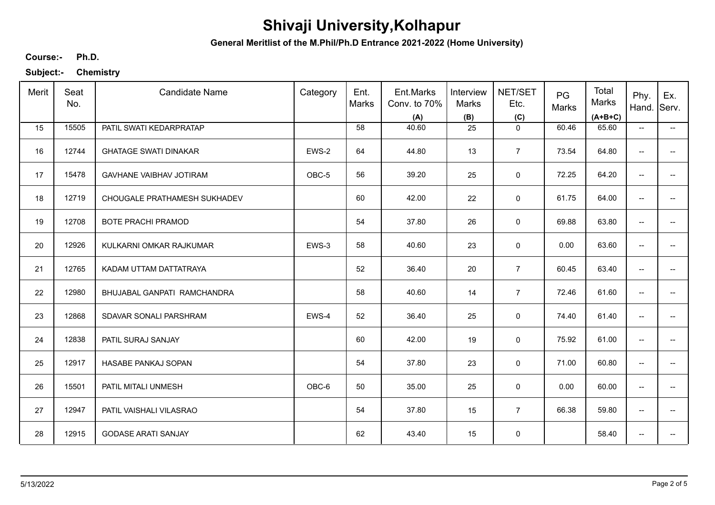**General Meritlist of the M.Phil/Ph.D Entrance 2021-2022 (Home University)**

**Ph.D. Course:-**

| Merit | Seat<br>No. | <b>Candidate Name</b>          | Category | Ent.<br>Marks | Ent.Marks<br>Conv. to 70%<br>(A) | Interview<br><b>Marks</b><br>(B) | NET/SET<br>Etc.<br>(C) | PG<br>Marks | Total<br>Marks<br>$(A+B+C)$ | Phy.<br>Hand.                       | Ex.<br>Serv.             |
|-------|-------------|--------------------------------|----------|---------------|----------------------------------|----------------------------------|------------------------|-------------|-----------------------------|-------------------------------------|--------------------------|
| 15    | 15505       | PATIL SWATI KEDARPRATAP        |          | 58            | 40.60                            | 25                               | $\mathbf 0$            | 60.46       | 65.60                       | $\overline{\phantom{a}}$            | $\overline{\phantom{a}}$ |
| 16    | 12744       | <b>GHATAGE SWATI DINAKAR</b>   | EWS-2    | 64            | 44.80                            | 13                               | $\overline{7}$         | 73.54       | 64.80                       | --                                  |                          |
| 17    | 15478       | <b>GAVHANE VAIBHAV JOTIRAM</b> | OBC-5    | 56            | 39.20                            | 25                               | $\mathsf 0$            | 72.25       | 64.20                       | --                                  | --                       |
| 18    | 12719       | CHOUGALE PRATHAMESH SUKHADEV   |          | 60            | 42.00                            | 22                               | 0                      | 61.75       | 64.00                       | $\overline{\phantom{a}}$            |                          |
| 19    | 12708       | <b>BOTE PRACHI PRAMOD</b>      |          | 54            | 37.80                            | 26                               | 0                      | 69.88       | 63.80                       | $\overline{\phantom{a}}$            | $\overline{a}$           |
| 20    | 12926       | KULKARNI OMKAR RAJKUMAR        | EWS-3    | 58            | 40.60                            | 23                               | $\mathbf 0$            | 0.00        | 63.60                       | $\overline{\phantom{a}}$            | --                       |
| 21    | 12765       | KADAM UTTAM DATTATRAYA         |          | 52            | 36.40                            | 20                               | $\overline{7}$         | 60.45       | 63.40                       | $\overline{\phantom{a}}$            | $\qquad \qquad -$        |
| 22    | 12980       | BHUJABAL GANPATI RAMCHANDRA    |          | 58            | 40.60                            | 14                               | $\overline{7}$         | 72.46       | 61.60                       | $\overline{\phantom{a}}$            |                          |
| 23    | 12868       | SDAVAR SONALI PARSHRAM         | EWS-4    | 52            | 36.40                            | 25                               | $\mathbf 0$            | 74.40       | 61.40                       | $\overline{\phantom{a}}$            | --                       |
| 24    | 12838       | PATIL SURAJ SANJAY             |          | 60            | 42.00                            | 19                               | 0                      | 75.92       | 61.00                       | --                                  | --                       |
| 25    | 12917       | HASABE PANKAJ SOPAN            |          | 54            | 37.80                            | 23                               | $\mathbf 0$            | 71.00       | 60.80                       | $\overline{\phantom{a}}$            | --                       |
| 26    | 15501       | PATIL MITALI UNMESH            | OBC-6    | 50            | 35.00                            | 25                               | 0                      | 0.00        | 60.00                       | $\overline{\phantom{a}}$            | $\overline{\phantom{a}}$ |
| 27    | 12947       | PATIL VAISHALI VILASRAO        |          | 54            | 37.80                            | 15                               | $\overline{7}$         | 66.38       | 59.80                       | $\overline{\phantom{a}}$            | $\overline{\phantom{a}}$ |
| 28    | 12915       | <b>GODASE ARATI SANJAY</b>     |          | 62            | 43.40                            | 15                               | $\pmb{0}$              |             | 58.40                       | $\hspace{0.05cm}$ $\hspace{0.05cm}$ | --                       |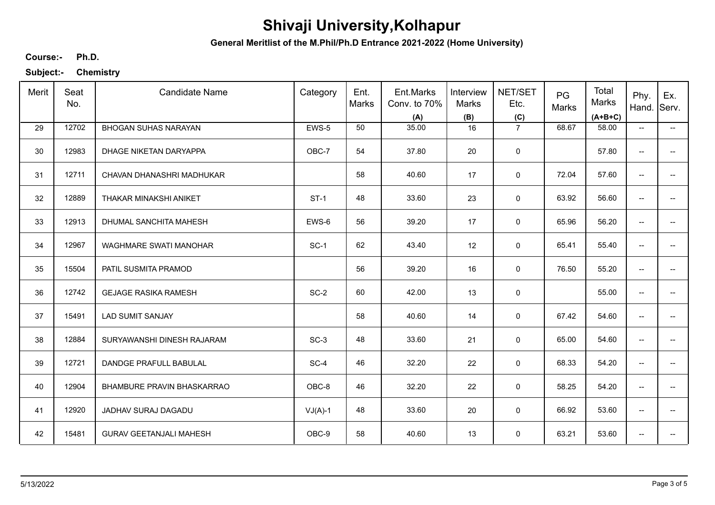**General Meritlist of the M.Phil/Ph.D Entrance 2021-2022 (Home University)**

**Ph.D. Course:-**

| Merit | Seat<br>No. | <b>Candidate Name</b>          | Category  | Ent.<br>Marks | Ent.Marks<br>Conv. to 70%<br>(A) | Interview<br>Marks<br>(B) | NET/SET<br>Etc.<br>(C) | PG<br>Marks | Total<br>Marks<br>$(A+B+C)$ | Phy.<br>Hand.                       | Ex.<br>Serv.             |
|-------|-------------|--------------------------------|-----------|---------------|----------------------------------|---------------------------|------------------------|-------------|-----------------------------|-------------------------------------|--------------------------|
| 29    | 12702       | <b>BHOGAN SUHAS NARAYAN</b>    | EWS-5     | 50            | 35.00                            | 16                        | $\overline{7}$         | 68.67       | 58.00                       | $\hspace{0.05cm}$ $\hspace{0.05cm}$ | −−                       |
| 30    | 12983       | DHAGE NIKETAN DARYAPPA         | OBC-7     | 54            | 37.80                            | 20                        | $\mathsf 0$            |             | 57.80                       | --                                  |                          |
| 31    | 12711       | CHAVAN DHANASHRI MADHUKAR      |           | 58            | 40.60                            | 17                        | $\mathbf 0$            | 72.04       | 57.60                       | $\overline{\phantom{a}}$            | $\qquad \qquad -$        |
| 32    | 12889       | THAKAR MINAKSHI ANIKET         | $ST-1$    | 48            | 33.60                            | 23                        | 0                      | 63.92       | 56.60                       | $\overline{\phantom{a}}$            | --                       |
| 33    | 12913       | DHUMAL SANCHITA MAHESH         | EWS-6     | 56            | 39.20                            | 17                        | 0                      | 65.96       | 56.20                       | $\overline{\phantom{a}}$            | $\overline{\phantom{a}}$ |
| 34    | 12967       | WAGHMARE SWATI MANOHAR         | $SC-1$    | 62            | 43.40                            | 12                        | 0                      | 65.41       | 55.40                       | $\overline{\phantom{a}}$            | $\overline{\phantom{a}}$ |
| 35    | 15504       | PATIL SUSMITA PRAMOD           |           | 56            | 39.20                            | 16                        | $\mathbf 0$            | 76.50       | 55.20                       | $\overline{\phantom{a}}$            |                          |
| 36    | 12742       | <b>GEJAGE RASIKA RAMESH</b>    | $SC-2$    | 60            | 42.00                            | 13                        | $\mathbf 0$            |             | 55.00                       | $\overline{\phantom{a}}$            |                          |
| 37    | 15491       | <b>LAD SUMIT SANJAY</b>        |           | 58            | 40.60                            | 14                        | 0                      | 67.42       | 54.60                       | $-$                                 |                          |
| 38    | 12884       | SURYAWANSHI DINESH RAJARAM     | $SC-3$    | 48            | 33.60                            | 21                        | $\mathbf 0$            | 65.00       | 54.60                       | $\overline{\phantom{a}}$            | $\overline{a}$           |
| 39    | 12721       | DANDGE PRAFULL BABULAL         | $SC-4$    | 46            | 32.20                            | 22                        | $\mathbf 0$            | 68.33       | 54.20                       | $\overline{\phantom{a}}$            | --                       |
| 40    | 12904       | BHAMBURE PRAVIN BHASKARRAO     | OBC-8     | 46            | 32.20                            | 22                        | 0                      | 58.25       | 54.20                       | $\overline{\phantom{a}}$            | $\overline{\phantom{a}}$ |
| 41    | 12920       | JADHAV SURAJ DAGADU            | $VJ(A)-1$ | 48            | 33.60                            | 20                        | 0                      | 66.92       | 53.60                       | $\overline{\phantom{a}}$            | $\overline{\phantom{a}}$ |
| 42    | 15481       | <b>GURAV GEETANJALI MAHESH</b> | OBC-9     | 58            | 40.60                            | 13                        | 0                      | 63.21       | 53.60                       | --                                  |                          |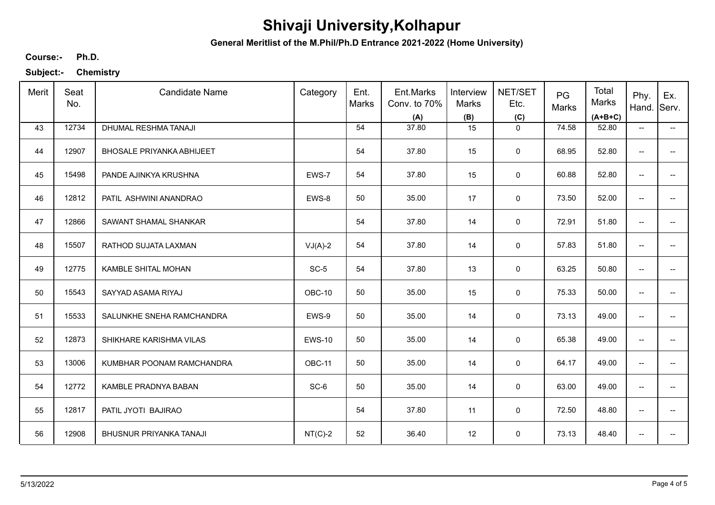**General Meritlist of the M.Phil/Ph.D Entrance 2021-2022 (Home University)**

**Ph.D. Course:-**

| Merit | Seat<br>No. | <b>Candidate Name</b>            | Category      | Ent.<br>Marks | Ent.Marks<br>Conv. to 70%<br>(A) | Interview<br>Marks<br>(B) | NET/SET<br>Etc.<br>(C) | PG<br>Marks | Total<br>Marks<br>$(A+B+C)$ | Phy.<br>Hand.                       | Ex.<br>Serv.             |
|-------|-------------|----------------------------------|---------------|---------------|----------------------------------|---------------------------|------------------------|-------------|-----------------------------|-------------------------------------|--------------------------|
| 43    | 12734       | DHUMAL RESHMA TANAJI             |               | 54            | 37.80                            | 15                        | $\mathbf 0$            | 74.58       | 52.80                       | $\overline{\phantom{a}}$            | $\overline{\phantom{a}}$ |
| 44    | 12907       | <b>BHOSALE PRIYANKA ABHIJEET</b> |               | 54            | 37.80                            | 15                        | 0                      | 68.95       | 52.80                       | $\overline{\phantom{a}}$            | $- -$                    |
| 45    | 15498       | PANDE AJINKYA KRUSHNA            | EWS-7         | 54            | 37.80                            | 15                        | $\mathsf 0$            | 60.88       | 52.80                       | $\overline{\phantom{a}}$            | $- -$                    |
| 46    | 12812       | PATIL ASHWINI ANANDRAO           | EWS-8         | 50            | 35.00                            | 17                        | $\mathsf 0$            | 73.50       | 52.00                       | $\overline{\phantom{a}}$            | $\overline{\phantom{a}}$ |
| 47    | 12866       | SAWANT SHAMAL SHANKAR            |               | 54            | 37.80                            | 14                        | 0                      | 72.91       | 51.80                       | $\overline{\phantom{a}}$            | -−                       |
| 48    | 15507       | RATHOD SUJATA LAXMAN             | $VJ(A)-2$     | 54            | 37.80                            | 14                        | $\mathbf 0$            | 57.83       | 51.80                       | $\overline{\phantom{a}}$            | $\overline{\phantom{a}}$ |
| 49    | 12775       | KAMBLE SHITAL MOHAN              | $SC-5$        | 54            | 37.80                            | 13                        | 0                      | 63.25       | 50.80                       | $\overline{\phantom{a}}$            | -−                       |
| 50    | 15543       | SAYYAD ASAMA RIYAJ               | OBC-10        | 50            | 35.00                            | 15                        | $\mathsf 0$            | 75.33       | 50.00                       | $\overline{\phantom{a}}$            | -−                       |
| 51    | 15533       | SALUNKHE SNEHA RAMCHANDRA        | EWS-9         | 50            | 35.00                            | 14                        | 0                      | 73.13       | 49.00                       | $\overline{\phantom{a}}$            | -−                       |
| 52    | 12873       | SHIKHARE KARISHMA VILAS          | <b>EWS-10</b> | 50            | 35.00                            | 14                        | $\mathsf 0$            | 65.38       | 49.00                       | $\hspace{0.05cm}$                   | $- -$                    |
| 53    | 13006       | KUMBHAR POONAM RAMCHANDRA        | OBC-11        | 50            | 35.00                            | 14                        | $\mathsf 0$            | 64.17       | 49.00                       | $\overline{\phantom{a}}$            | $\overline{\phantom{a}}$ |
| 54    | 12772       | KAMBLE PRADNYA BABAN             | SC-6          | 50            | 35.00                            | 14                        | $\mathbf 0$            | 63.00       | 49.00                       | $\overline{\phantom{m}}$            | --                       |
| 55    | 12817       | PATIL JYOTI BAJIRAO              |               | 54            | 37.80                            | 11                        | 0                      | 72.50       | 48.80                       | $\overline{\phantom{a}}$            | $\overline{\phantom{a}}$ |
| 56    | 12908       | BHUSNUR PRIYANKA TANAJI          | $NT(C)-2$     | 52            | 36.40                            | 12                        | $\mathbf 0$            | 73.13       | 48.40                       | $\hspace{0.05cm}$ $\hspace{0.05cm}$ | --                       |